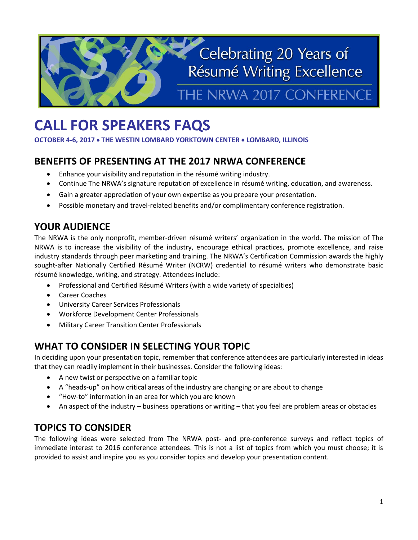# Celebrating 20 Years of Résumé Writing Excellence THE NRWA 2017 CONFERENCE

## **CALL FOR SPEAKERS FAQS**

**OCTOBER 4-6, 2017 THE WESTIN LOMBARD YORKTOWN CENTER LOMBARD, ILLINOIS**

## **BENEFITS OF PRESENTING AT THE 2017 NRWA CONFERENCE**

- Enhance your visibility and reputation in the résumé writing industry.
- Continue The NRWA's signature reputation of excellence in résumé writing, education, and awareness.
- Gain a greater appreciation of your own expertise as you prepare your presentation.
- Possible monetary and travel-related benefits and/or complimentary conference registration.

## **YOUR AUDIENCE**

The NRWA is the only nonprofit, member-driven résumé writers' organization in the world. The mission of The NRWA is to increase the visibility of the industry, encourage ethical practices, promote excellence, and raise industry standards through peer marketing and training. The NRWA's Certification Commission awards the highly sought-after Nationally Certified Résumé Writer (NCRW) credential to résumé writers who demonstrate basic résumé knowledge, writing, and strategy. Attendees include:

- Professional and Certified Résumé Writers (with a wide variety of specialties)
- Career Coaches
- University Career Services Professionals
- Workforce Development Center Professionals
- Military Career Transition Center Professionals

## **WHAT TO CONSIDER IN SELECTING YOUR TOPIC**

In deciding upon your presentation topic, remember that conference attendees are particularly interested in ideas that they can readily implement in their businesses. Consider the following ideas:

- A new twist or perspective on a familiar topic
- A "heads-up" on how critical areas of the industry are changing or are about to change
- "How-to" information in an area for which you are known
- An aspect of the industry business operations or writing that you feel are problem areas or obstacles

## **TOPICS TO CONSIDER**

The following ideas were selected from The NRWA post- and pre-conference surveys and reflect topics of immediate interest to 2016 conference attendees. This is not a list of topics from which you must choose; it is provided to assist and inspire you as you consider topics and develop your presentation content.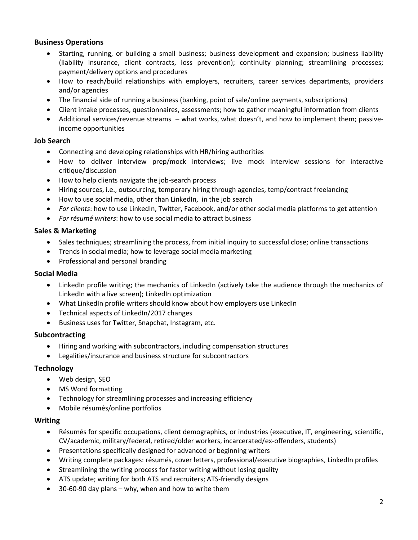#### **Business Operations**

- Starting, running, or building a small business; business development and expansion; business liability (liability insurance, client contracts, loss prevention); continuity planning; streamlining processes; payment/delivery options and procedures
- How to reach/build relationships with employers, recruiters, career services departments, providers and/or agencies
- The financial side of running a business (banking, point of sale/online payments, subscriptions)
- Client intake processes, questionnaires, assessments; how to gather meaningful information from clients
- Additional services/revenue streams what works, what doesn't, and how to implement them; passiveincome opportunities

#### **Job Search**

- Connecting and developing relationships with HR/hiring authorities
- How to deliver interview prep/mock interviews; live mock interview sessions for interactive critique/discussion
- How to help clients navigate the job-search process
- Hiring sources, i.e., outsourcing, temporary hiring through agencies, temp/contract freelancing
- How to use social media, other than LinkedIn, in the job search
- *For clients*: how to use LinkedIn, Twitter, Facebook, and/or other social media platforms to get attention
- *For résumé writers*: how to use social media to attract business

#### **Sales & Marketing**

- Sales techniques; streamlining the process, from initial inquiry to successful close; online transactions
- Trends in social media; how to leverage social media marketing
- Professional and personal branding

#### **Social Media**

- LinkedIn profile writing; the mechanics of LinkedIn (actively take the audience through the mechanics of LinkedIn with a live screen); LinkedIn optimization
- What LinkedIn profile writers should know about how employers use LinkedIn
- Technical aspects of LinkedIn/2017 changes
- Business uses for Twitter, Snapchat, Instagram, etc.

#### **Subcontracting**

- Hiring and working with subcontractors, including compensation structures
- Legalities/insurance and business structure for subcontractors

#### **Technology**

- Web design, SEO
- MS Word formatting
- Technology for streamlining processes and increasing efficiency
- Mobile résumés/online portfolios

#### **Writing**

- Résumés for specific occupations, client demographics, or industries (executive, IT, engineering, scientific, CV/academic, military/federal, retired/older workers, incarcerated/ex-offenders, students)
- Presentations specifically designed for advanced or beginning writers
- Writing complete packages: résumés, cover letters, professional/executive biographies, LinkedIn profiles
- Streamlining the writing process for faster writing without losing quality
- ATS update; writing for both ATS and recruiters; ATS-friendly designs
- 30-60-90 day plans why, when and how to write them